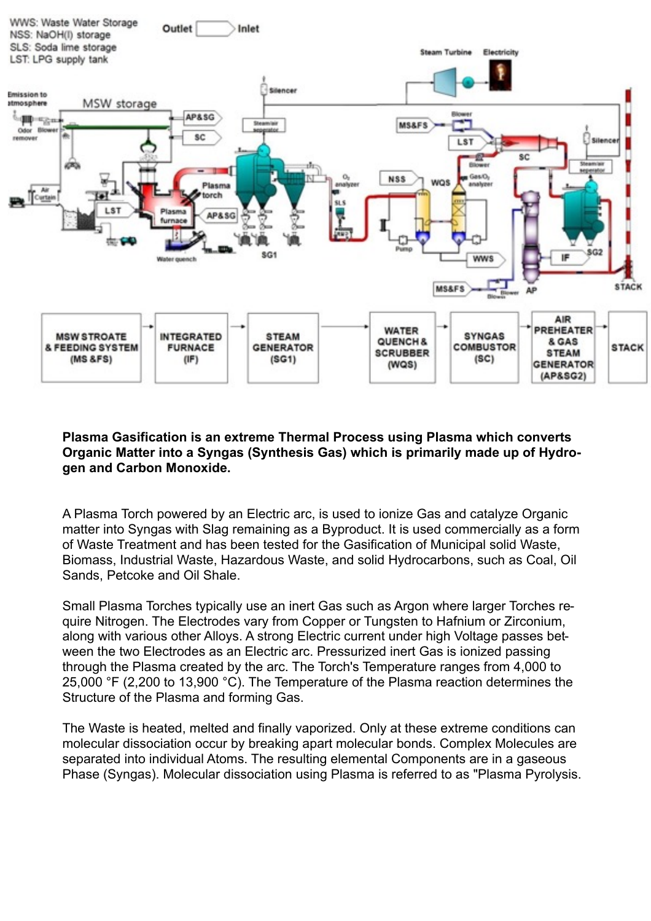

## **Plasma Gasification is an extreme Thermal Process using Plasma which converts Organic Matter into a Syngas (Synthesis Gas) which is primarily made up of Hydrogen and Carbon Monoxide.**

A Plasma Torch powered by an Electric arc, is used to ionize Gas and catalyze Organic matter into Syngas with Slag remaining as a Byproduct. It is used commercially as a form of Waste Treatment and has been tested for the Gasification of Municipal solid Waste, Biomass, Industrial Waste, Hazardous Waste, and solid Hydrocarbons, such as Coal, Oil Sands, Petcoke and Oil Shale.

Small Plasma Torches typically use an inert Gas such as Argon where larger Torches require Nitrogen. The Electrodes vary from Copper or Tungsten to Hafnium or Zirconium, along with various other Alloys. A strong Electric current under high Voltage passes between the two Electrodes as an Electric arc. Pressurized inert Gas is ionized passing through the Plasma created by the arc. The Torch's Temperature ranges from 4,000 to 25,000 °F (2,200 to 13,900 °C). The Temperature of the Plasma reaction determines the Structure of the Plasma and forming Gas.

The Waste is heated, melted and finally vaporized. Only at these extreme conditions can molecular dissociation occur by breaking apart molecular bonds. Complex Molecules are separated into individual Atoms. The resulting elemental Components are in a gaseous Phase (Syngas). Molecular dissociation using Plasma is referred to as "Plasma Pyrolysis.